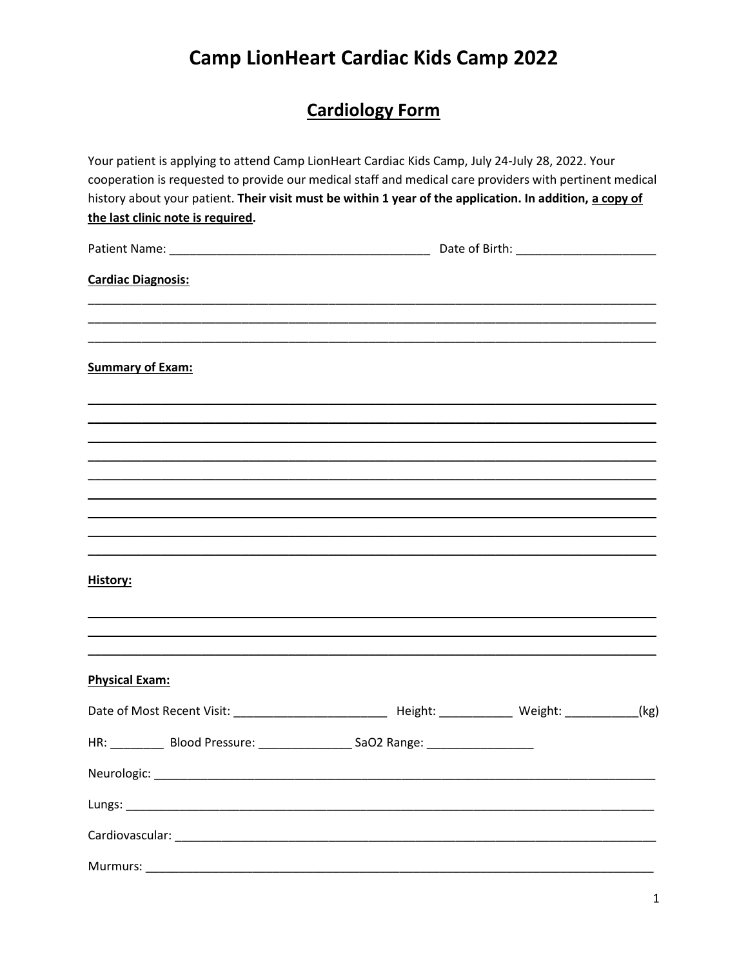# **Cardiology Form**

| Your patient is applying to attend Camp LionHeart Cardiac Kids Camp, July 24-July 28, 2022. Your<br>cooperation is requested to provide our medical staff and medical care providers with pertinent medical<br>history about your patient. Their visit must be within 1 year of the application. In addition, a copy of<br>the last clinic note is required. |  |  |
|--------------------------------------------------------------------------------------------------------------------------------------------------------------------------------------------------------------------------------------------------------------------------------------------------------------------------------------------------------------|--|--|
|                                                                                                                                                                                                                                                                                                                                                              |  |  |
| <b>Cardiac Diagnosis:</b>                                                                                                                                                                                                                                                                                                                                    |  |  |
| <b>Summary of Exam:</b>                                                                                                                                                                                                                                                                                                                                      |  |  |
|                                                                                                                                                                                                                                                                                                                                                              |  |  |
|                                                                                                                                                                                                                                                                                                                                                              |  |  |
| History:                                                                                                                                                                                                                                                                                                                                                     |  |  |
|                                                                                                                                                                                                                                                                                                                                                              |  |  |
| <b>Physical Exam:</b>                                                                                                                                                                                                                                                                                                                                        |  |  |
| HR: _______________ Blood Pressure: _______________________SaO2 Range: ____________________________                                                                                                                                                                                                                                                          |  |  |
|                                                                                                                                                                                                                                                                                                                                                              |  |  |
|                                                                                                                                                                                                                                                                                                                                                              |  |  |
|                                                                                                                                                                                                                                                                                                                                                              |  |  |
| Murmurs:                                                                                                                                                                                                                                                                                                                                                     |  |  |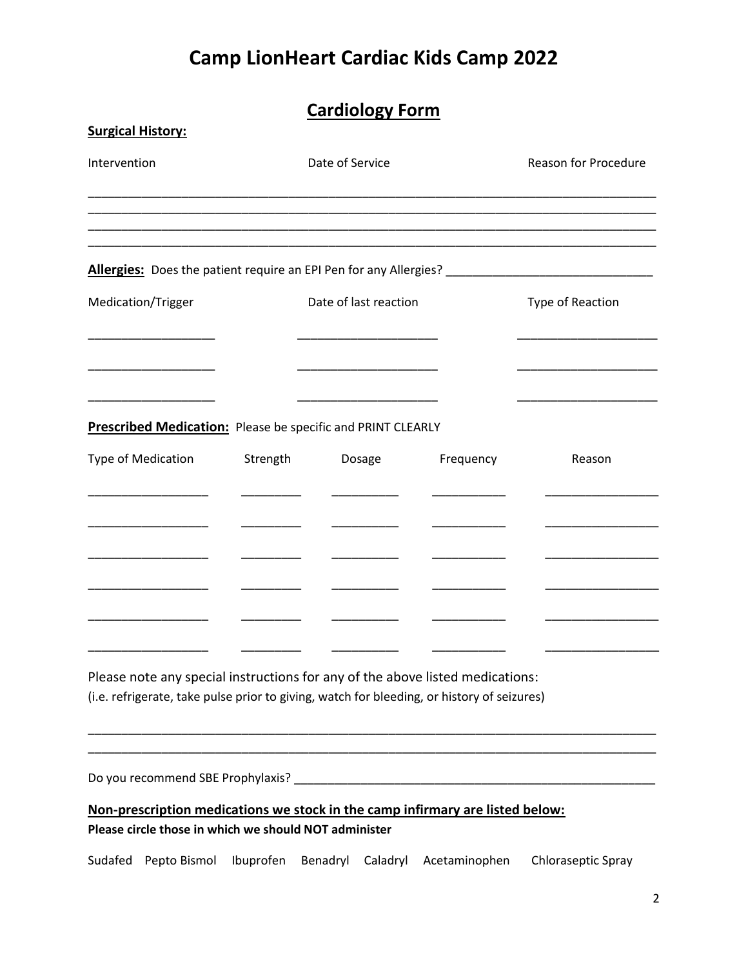## **Cardiology Form**

| <b>Surgical History:</b>                                                                                                               |           |                       |               |                             |
|----------------------------------------------------------------------------------------------------------------------------------------|-----------|-----------------------|---------------|-----------------------------|
| Intervention                                                                                                                           |           | Date of Service       |               | <b>Reason for Procedure</b> |
|                                                                                                                                        |           |                       |               |                             |
|                                                                                                                                        |           |                       |               |                             |
| Medication/Trigger                                                                                                                     |           | Date of last reaction |               | Type of Reaction            |
|                                                                                                                                        |           |                       |               |                             |
|                                                                                                                                        |           |                       |               |                             |
| <b>Prescribed Medication:</b> Please be specific and PRINT CLEARLY                                                                     |           |                       |               |                             |
| Type of Medication                                                                                                                     | Strength  | Dosage                | Frequency     | Reason                      |
|                                                                                                                                        |           |                       |               |                             |
|                                                                                                                                        |           |                       |               |                             |
|                                                                                                                                        |           |                       |               |                             |
|                                                                                                                                        |           |                       |               |                             |
| Please note any special instructions for any of the above listed medications:                                                          |           |                       |               |                             |
| (i.e. refrigerate, take pulse prior to giving, watch for bleeding, or history of seizures)                                             |           |                       |               |                             |
|                                                                                                                                        |           |                       |               |                             |
| Do you recommend SBE Prophylaxis? ________                                                                                             |           |                       |               |                             |
| Non-prescription medications we stock in the camp infirmary are listed below:<br>Please circle those in which we should NOT administer |           |                       |               |                             |
| Pepto Bismol<br>Sudafed                                                                                                                | Ibuprofen | Benadryl<br>Caladryl  | Acetaminophen | Chloraseptic Spray          |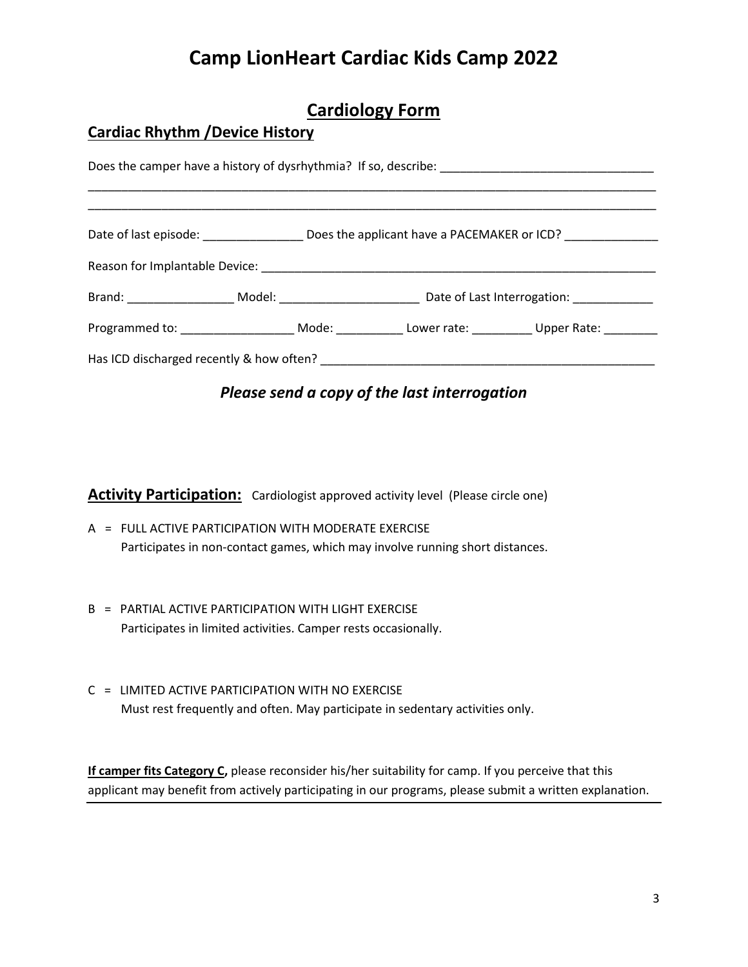## **Cardiology Form**

#### **Cardiac Rhythm /Device History**

|  |  |  | Programmed to: _________________________Mode: ______________Lower rate: ____________Upper Rate: _________ |  |  |  |
|--|--|--|-----------------------------------------------------------------------------------------------------------|--|--|--|
|  |  |  |                                                                                                           |  |  |  |

#### *Please send a copy of the last interrogation*

**Activity Participation:** Cardiologist approved activity level (Please circle one)

- A = FULL ACTIVE PARTICIPATION WITH MODERATE EXERCISE Participates in non-contact games, which may involve running short distances.
- B = PARTIAL ACTIVE PARTICIPATION WITH LIGHT EXERCISE Participates in limited activities. Camper rests occasionally.
- C = LIMITED ACTIVE PARTICIPATION WITH NO EXERCISE Must rest frequently and often. May participate in sedentary activities only.

**If camper fits Category C,** please reconsider his/her suitability for camp. If you perceive that this applicant may benefit from actively participating in our programs, please submit a written explanation.